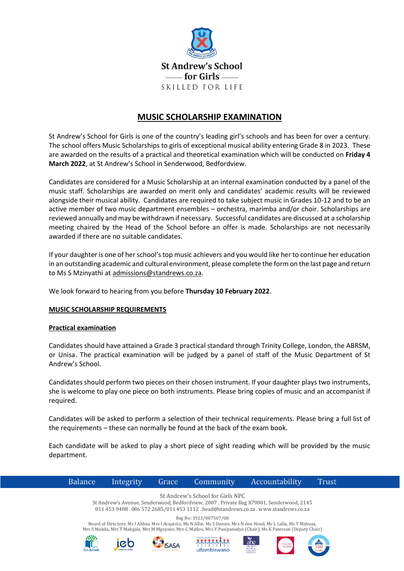

# **MUSIC SCHOLARSHIP EXAMINATION**

St Andrew's School for Girls is one of the country's leading girl's schools and has been for over a century. The school offers Music Scholarships to girls of exceptional musical ability entering Grade 8 in 2023. These are awarded on the results of a practical and theoretical examination which will be conducted on **Friday 4 March 2022**, at St Andrew's School in Senderwood, Bedfordview.

Candidates are considered for a Music Scholarship at an internal examination conducted by a panel of the music staff. Scholarships are awarded on merit only and candidates' academic results will be reviewed alongside their musical ability. Candidates are required to take subject music in Grades 10-12 and to be an active member of two music department ensembles – orchestra, marimba and/or choir. Scholarships are reviewed annually and may be withdrawn if necessary. Successful candidates are discussed at a scholarship meeting chaired by the Head of the School before an offer is made. Scholarships are not necessarily awarded if there are no suitable candidates.

If your daughter is one of her school's top music achievers and you would like her to continue her education in an outstanding academic and cultural environment, please complete the form on the last page and return to Ms S Mzinyathi at [admissions@standrews.co.za.](mailto:admissions@standrews.co.za)

We look forward to hearing from you before **Thursday 10 February 2022**.

### **MUSIC SCHOLARSHIP REQUIREMENTS**

### **Practical examination**

Candidates should have attained a Grade 3 practical standard through Trinity College, London, the ABRSM, or Unisa. The practical examination will be judged by a panel of staff of the Music Department of St Andrew's School.

Candidates should perform two pieces on their chosen instrument. If your daughter plays two instruments, she is welcome to play one piece on both instruments. Please bring copies of music and an accompanist if required.

Candidates will be asked to perform a selection of their technical requirements. Please bring a full list of the requirements – these can normally be found at the back of the exam book.

Each candidate will be asked to play a short piece of sight reading which will be provided by the music department.